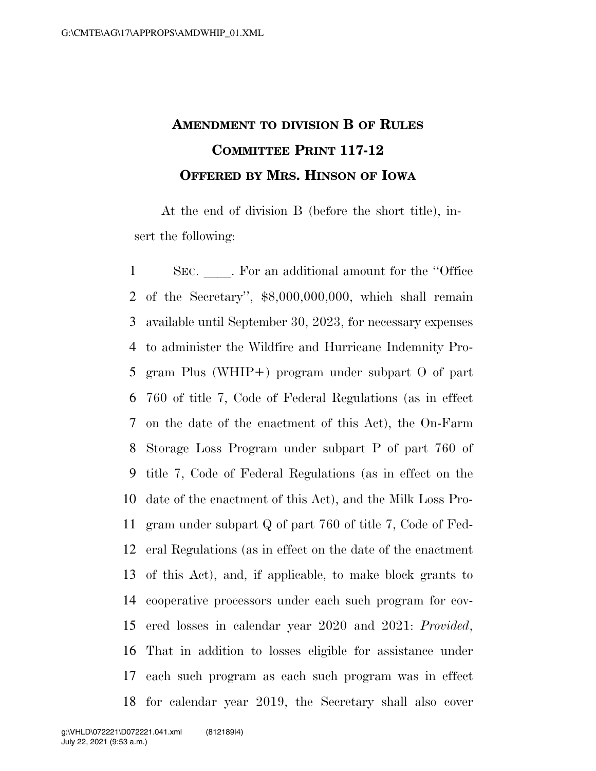## **AMENDMENT TO DIVISION B OF RULES COMMITTEE PRINT 117-12 OFFERED BY MRS. HINSON OF IOWA**

At the end of division B (before the short title), insert the following:

1 SEC. For an additional amount for the "Office" of the Secretary'', \$8,000,000,000, which shall remain available until September 30, 2023, for necessary expenses to administer the Wildfire and Hurricane Indemnity Pro- gram Plus (WHIP+) program under subpart O of part 760 of title 7, Code of Federal Regulations (as in effect on the date of the enactment of this Act), the On-Farm Storage Loss Program under subpart P of part 760 of title 7, Code of Federal Regulations (as in effect on the date of the enactment of this Act), and the Milk Loss Pro- gram under subpart Q of part 760 of title 7, Code of Fed- eral Regulations (as in effect on the date of the enactment of this Act), and, if applicable, to make block grants to cooperative processors under each such program for cov- ered losses in calendar year 2020 and 2021: *Provided*, That in addition to losses eligible for assistance under each such program as each such program was in effect for calendar year 2019, the Secretary shall also cover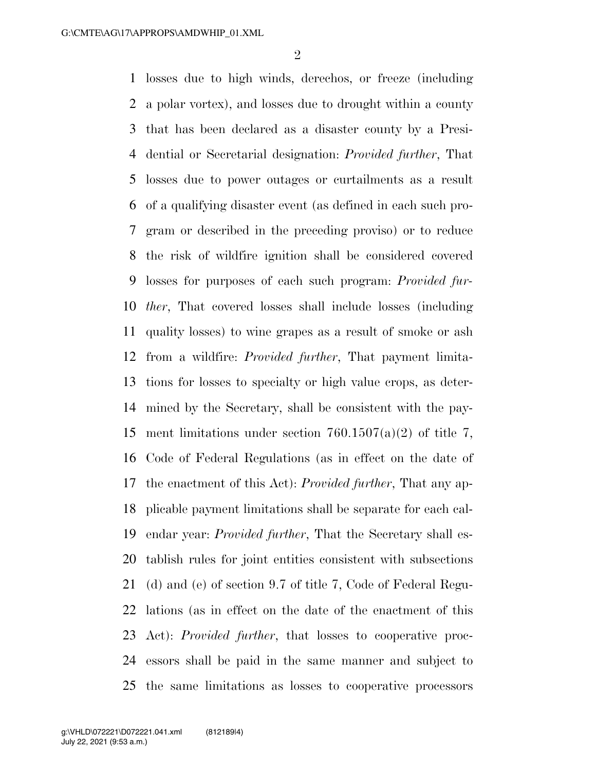losses due to high winds, derechos, or freeze (including a polar vortex), and losses due to drought within a county that has been declared as a disaster county by a Presi- dential or Secretarial designation: *Provided further*, That losses due to power outages or curtailments as a result of a qualifying disaster event (as defined in each such pro- gram or described in the preceding proviso) or to reduce the risk of wildfire ignition shall be considered covered losses for purposes of each such program: *Provided fur- ther*, That covered losses shall include losses (including quality losses) to wine grapes as a result of smoke or ash from a wildfire: *Provided further*, That payment limita- tions for losses to specialty or high value crops, as deter- mined by the Secretary, shall be consistent with the pay-15 ment limitations under section  $760.1507(a)(2)$  of title 7, Code of Federal Regulations (as in effect on the date of the enactment of this Act): *Provided further*, That any ap- plicable payment limitations shall be separate for each cal- endar year: *Provided further*, That the Secretary shall es- tablish rules for joint entities consistent with subsections (d) and (e) of section 9.7 of title 7, Code of Federal Regu- lations (as in effect on the date of the enactment of this Act): *Provided further*, that losses to cooperative proc- essors shall be paid in the same manner and subject to the same limitations as losses to cooperative processors